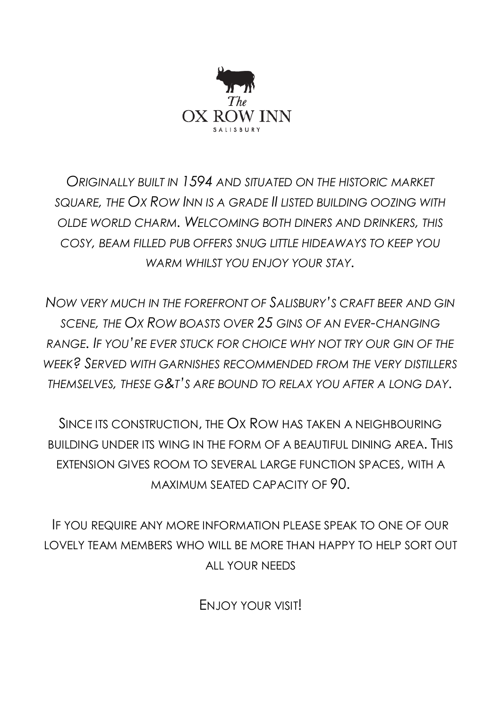

*ORIGINALLY BUILT IN 1594 AND SITUATED ON THE HISTORIC MARKET SQUARE, THE OX ROW INN IS A GRADE II LISTED BUILDING OOZING WITH OLDE WORLD CHARM. WELCOMING BOTH DINERS AND DRINKERS, THIS COSY, BEAM FILLED PUB OFFERS SNUG LITTLE HIDEAWAYS TO KEEP YOU WARM WHILST YOU ENJOY YOUR STAY.*

*NOW VERY MUCH IN THE FOREFRONT OF SALISBURY'S CRAFT BEER AND GIN SCENE, THE OX ROW BOASTS OVER 25 GINS OF AN EVER-CHANGING RANGE. IF YOU'RE EVER STUCK FOR CHOICE WHY NOT TRY OUR GIN OF THE WEEK? SERVED WITH GARNISHES RECOMMENDED FROM THE VERY DISTILLERS THEMSELVES, THESE G&T'S ARE BOUND TO RELAX YOU AFTER A LONG DAY.*

SINCE ITS CONSTRUCTION, THE OX ROW HAS TAKEN A NEIGHBOURING BUILDING UNDER ITS WING IN THE FORM OF A BEAUTIFUL DINING AREA. THIS EXTENSION GIVES ROOM TO SEVERAL LARGE FUNCTION SPACES, WITH A MAXIMUM SEATED CAPACITY OF 90.

IF YOU REQUIRE ANY MORE INFORMATION PLEASE SPEAK TO ONE OF OUR LOVELY TEAM MEMBERS WHO WILL BE MORE THAN HAPPY TO HELP SORT OUT ALL YOUR NEEDS

ENJOY YOUR VISIT!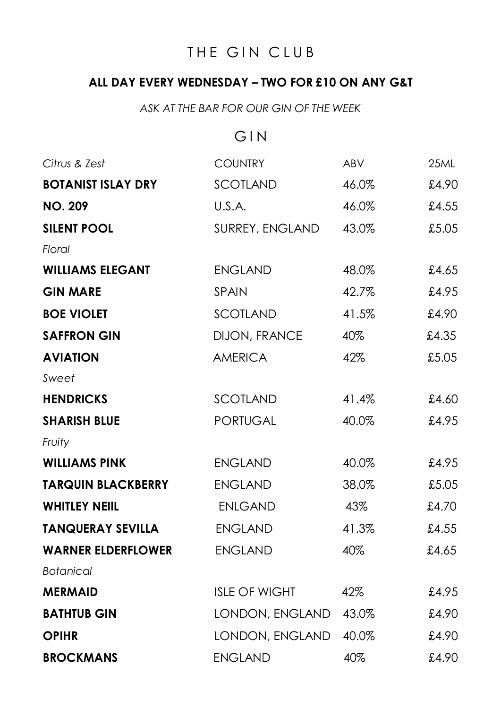# THE GIN CLUB

## **ALL DAY EVERY WEDNESDAY – TWO FOR £10 ON ANY G&T**

*ASK AT THE BAR FOR OUR GIN OF THE WEEK*

# G I N

| Citrus & Zest             | <b>COUNTRY</b>       | ABV   | 25ML  |
|---------------------------|----------------------|-------|-------|
| <b>BOTANIST ISLAY DRY</b> | SCOTLAND             | 46.0% | £4.90 |
| <b>NO. 209</b>            | U.S.A.               | 46.0% | £4.55 |
| <b>SILENT POOL</b>        | SURREY, ENGLAND      | 43.0% | £5.05 |
| Floral                    |                      |       |       |
| <b>WILLIAMS ELEGANT</b>   | <b>ENGLAND</b>       | 48.0% | £4.65 |
| <b>GIN MARE</b>           | SPAIN                | 42.7% | £4.95 |
| <b>BOE VIOLET</b>         | <b>SCOTLAND</b>      | 41.5% | £4.90 |
| <b>SAFFRON GIN</b>        | <b>DIJON, FRANCE</b> | 40%   | £4.35 |
| <b>AVIATION</b>           | <b>AMERICA</b>       | 42%   | £5.05 |
| Sweet                     |                      |       |       |
| <b>HENDRICKS</b>          | SCOTLAND             | 41.4% | £4.60 |
| <b>SHARISH BLUE</b>       | <b>PORTUGAL</b>      | 40.0% | £4.95 |
| Fruity                    |                      |       |       |
| <b>WILLIAMS PINK</b>      | <b>ENGLAND</b>       | 40.0% | £4.95 |
| <b>TARQUIN BLACKBERRY</b> | <b>ENGLAND</b>       | 38.0% | £5.05 |
| <b>WHITLEY NEILL</b>      | <b>ENLGAND</b>       | 43%   | £4.70 |
| <b>TANQUERAY SEVILLA</b>  | <b>ENGLAND</b>       | 41.3% | £4.55 |
| <b>WARNER ELDERFLOWER</b> | <b>ENGLAND</b>       | 40%   | £4.65 |
| <b>Botanical</b>          |                      |       |       |
| <b>MERMAID</b>            | <b>ISLE OF WIGHT</b> | 42%   | £4.95 |
| <b>BATHTUB GIN</b>        | LONDON, ENGLAND      | 43.0% | £4.90 |
| <b>OPIHR</b>              | LONDON, ENGLAND      | 40.0% | £4.90 |
| <b>BROCKMANS</b>          | <b>ENGLAND</b>       | 40%   | £4.90 |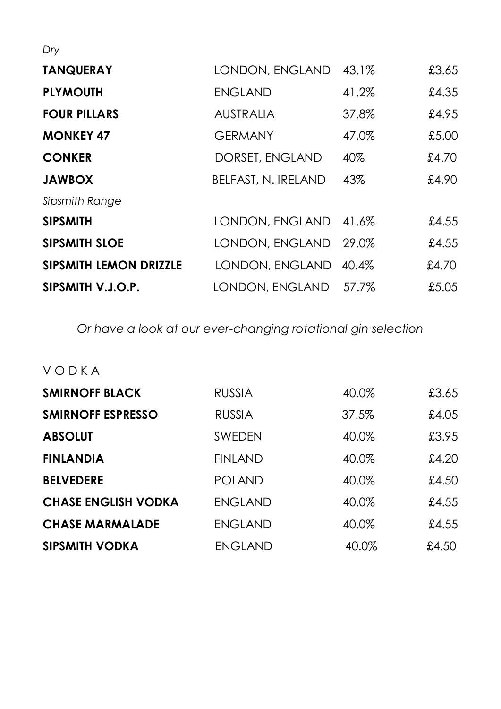| <b>TANQUERAY</b>       | LONDON, ENGLAND       | 43.1% | £3.65 |
|------------------------|-----------------------|-------|-------|
| <b>PLYMOUTH</b>        | <b>ENGLAND</b>        | 41.2% | £4.35 |
| <b>FOUR PILLARS</b>    | <b>AUSTRALIA</b>      | 37.8% | £4.95 |
| <b>MONKEY 47</b>       | <b>GERMANY</b>        | 47.0% | £5.00 |
| <b>CONKER</b>          | DORSET, ENGLAND       | 40%   | £4.70 |
| <b>JAWBOX</b>          | BELFAST, N. IRELAND   | 43%   | £4.90 |
| Sipsmith Range         |                       |       |       |
| <b>SIPSMITH</b>        | LONDON, ENGLAND 41.6% |       | £4.55 |
| <b>SIPSMITH SLOE</b>   | LONDON, ENGLAND       | 29.0% | £4.55 |
| SIPSMITH LEMON DRIZZLE | LONDON, ENGLAND       | 40.4% | £4.70 |
| SIPSMITH V.J.O.P.      | LONDON, ENGLAND       | 57.7% | £5.05 |

*Or have a look at our ever-changing rotational gin selection*

### **VODKA**

*Dry*

| <b>SMIRNOFF BLACK</b>      | <b>RUSSIA</b>  | 40.0% | £3.65 |
|----------------------------|----------------|-------|-------|
| <b>SMIRNOFF ESPRESSO</b>   | <b>RUSSIA</b>  | 37.5% | £4.05 |
| <b>ABSOLUT</b>             | <b>SWEDEN</b>  | 40.0% | £3.95 |
| <b>FINLANDIA</b>           | <b>FINLAND</b> | 40.0% | £4.20 |
| <b>BELVEDERE</b>           | <b>POLAND</b>  | 40.0% | £4.50 |
| <b>CHASE ENGLISH VODKA</b> | <b>ENGLAND</b> | 40.0% | £4.55 |
| <b>CHASE MARMALADE</b>     | <b>ENGLAND</b> | 40.0% | £4.55 |
| <b>SIPSMITH VODKA</b>      | ENGLAND        | 40.0% | £4.50 |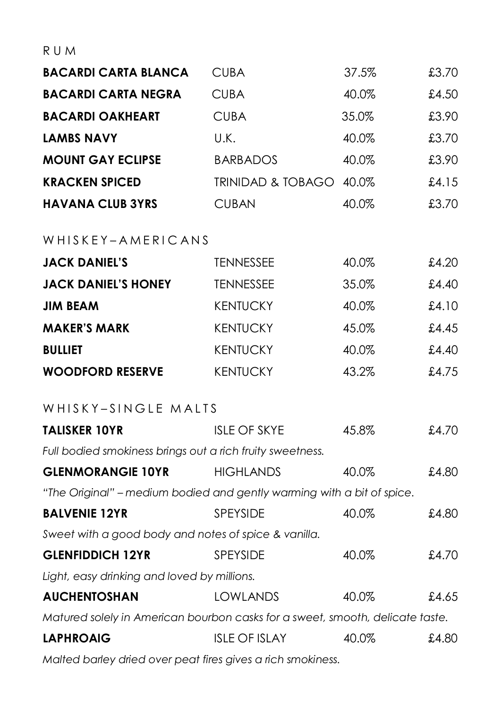R U M

| <b>BACARDI CARTA BLANCA</b>                                                   | <b>CUBA</b>                  | 37.5% | £3.70 |
|-------------------------------------------------------------------------------|------------------------------|-------|-------|
| <b>BACARDI CARTA NEGRA</b>                                                    | <b>CUBA</b>                  | 40.0% | £4.50 |
| <b>BACARDI OAKHEART</b>                                                       | <b>CUBA</b>                  | 35.0% | £3.90 |
| <b>LAMBS NAVY</b>                                                             | U.K.                         | 40.0% | £3.70 |
| <b>MOUNT GAY ECLIPSE</b>                                                      | <b>BARBADOS</b>              | 40.0% | £3.90 |
| <b>KRACKEN SPICED</b>                                                         | <b>TRINIDAD &amp; TOBAGO</b> | 40.0% | £4.15 |
| <b>HAVANA CLUB 3YRS</b>                                                       | <b>CUBAN</b>                 | 40.0% | £3.70 |
| WHISKEY-AMERICANS                                                             |                              |       |       |
| <b>JACK DANIEL'S</b>                                                          | <b>TENNESSEE</b>             | 40.0% | £4.20 |
| <b>JACK DANIEL'S HONEY</b>                                                    | <b>TENNESSEE</b>             | 35.0% | £4.40 |
| JIM BEAM                                                                      | <b>KENTUCKY</b>              | 40.0% | £4.10 |
| <b>MAKER'S MARK</b>                                                           | <b>KENTUCKY</b>              | 45.0% | £4.45 |
| <b>BULLIET</b>                                                                | <b>KENTUCKY</b>              | 40.0% | £4.40 |
| <b>WOODFORD RESERVE</b>                                                       | <b>KENTUCKY</b>              | 43.2% | £4.75 |
| WHISKY-SINGLE MALTS                                                           |                              |       |       |
| <b>TALISKER 10YR</b>                                                          | <b>ISLE OF SKYE</b>          | 45.8% | £4.70 |
| Full bodied smokiness brings out a rich fruity sweetness.                     |                              |       |       |
| <b>GLENMORANGIE 10YR</b>                                                      | <b>HIGHLANDS</b>             | 40.0% | £4.80 |
| "The Original" - medium bodied and gently warming with a bit of spice.        |                              |       |       |
| <b>BALVENIE 12YR</b>                                                          | SPEYSIDE                     | 40.0% | £4.80 |
| Sweet with a good body and notes of spice & vanilla.                          |                              |       |       |
| <b>GLENFIDDICH 12YR</b>                                                       | <b>SPEYSIDE</b>              | 40.0% | £4.70 |
| Light, easy drinking and loved by millions.                                   |                              |       |       |
| <b>AUCHENTOSHAN</b>                                                           | <b>LOWLANDS</b>              | 40.0% | £4.65 |
| Matured solely in American bourbon casks for a sweet, smooth, delicate taste. |                              |       |       |
| <b>LAPHROAIG</b>                                                              | <b>ISLE OF ISLAY</b>         | 40.0% | £4.80 |

*Malted barley dried over peat fires gives a rich smokiness.*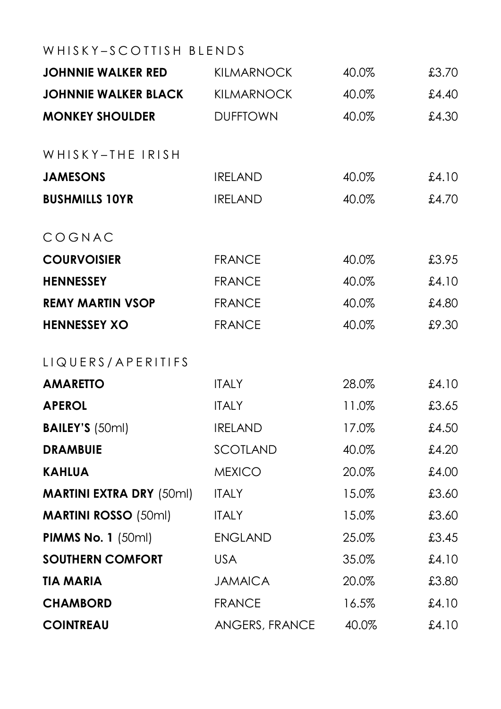# WHISKY-SCOTTISH BLENDS

| <b>JOHNNIE WALKER RED</b>       | <b>KILMARNOCK</b> | 40.0% | £3.70 |
|---------------------------------|-------------------|-------|-------|
| <b>JOHNNIE WALKER BLACK</b>     | KILMARNOCK        | 40.0% | £4.40 |
| <b>MONKEY SHOULDER</b>          | <b>DUFFTOWN</b>   | 40.0% | £4.30 |
| WHISKY-THE IRISH                |                   |       |       |
| <b>JAMESONS</b>                 | <b>IRELAND</b>    | 40.0% | £4.10 |
| <b>BUSHMILLS 10YR</b>           | <b>IRELAND</b>    | 40.0% | £4.70 |
| COGNAC                          |                   |       |       |
| <b>COURVOISIER</b>              | <b>FRANCE</b>     | 40.0% | £3.95 |
| <b>HENNESSEY</b>                | <b>FRANCE</b>     | 40.0% | £4.10 |
| <b>REMY MARTIN VSOP</b>         | <b>FRANCE</b>     | 40.0% | £4.80 |
| <b>HENNESSEY XO</b>             | <b>FRANCE</b>     | 40.0% | £9.30 |
| LIQUERS/APERITIFS               |                   |       |       |
| <b>AMARETTO</b>                 | <b>ITALY</b>      | 28.0% | £4.10 |
| <b>APEROL</b>                   | <b>ITALY</b>      | 11.0% | £3.65 |
| <b>BAILEY'S (50ml)</b>          | <b>IRELAND</b>    | 17.0% | £4.50 |
| <b>DRAMBUIE</b>                 | SCOTLAND          | 40.0% | £4.20 |
| <b>KAHLUA</b>                   | <b>MEXICO</b>     | 20.0% | £4.00 |
| <b>MARTINI EXTRA DRY (50ml)</b> | <b>ITALY</b>      | 15.0% | £3.60 |
| <b>MARTINI ROSSO (50ml)</b>     | <b>ITALY</b>      | 15.0% | £3.60 |
| <b>PIMMS No. 1 (50ml)</b>       | <b>ENGLAND</b>    | 25.0% | £3.45 |
| <b>SOUTHERN COMFORT</b>         | <b>USA</b>        | 35.0% | £4.10 |
| <b>TIA MARIA</b>                | <b>JAMAICA</b>    | 20.0% | £3.80 |
| <b>CHAMBORD</b>                 | <b>FRANCE</b>     | 16.5% | £4.10 |
| <b>COINTREAU</b>                | ANGERS, FRANCE    | 40.0% | £4.10 |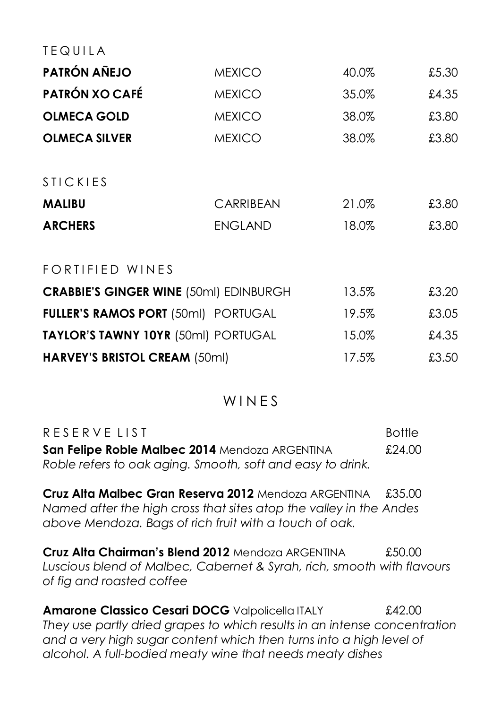| TEQUILA                                       |                |       |       |
|-----------------------------------------------|----------------|-------|-------|
| <b>PATRÓN AÑEJO</b>                           | <b>MEXICO</b>  | 40.0% | £5.30 |
| PATRÓN XO CAFÉ                                | <b>MEXICO</b>  | 35.0% | £4.35 |
| <b>OLMECA GOLD</b>                            | <b>MEXICO</b>  | 38.0% | £3.80 |
| <b>OLMECA SILVER</b>                          | <b>MEXICO</b>  | 38.0% | £3.80 |
| <b>STICKIES</b>                               |                |       |       |
| <b>MALIBU</b>                                 | CARRIBEAN      | 21.0% | £3.80 |
| <b>ARCHERS</b>                                | <b>ENGLAND</b> | 18.0% | £3.80 |
| FORTIFIED WINES                               |                |       |       |
| <b>CRABBIE'S GINGER WINE (50ml) EDINBURGH</b> |                | 13.5% | £3.20 |
| <b>FULLER'S RAMOS PORT (50ml) PORTUGAL</b>    |                | 19.5% | £3.05 |
| TAYLOR'S TAWNY 10YR (50ml) PORTUGAL           |                | 15.0% | £4.35 |
| <b>HARVEY'S BRISTOL CREAM (50ml)</b>          |                | 17.5% | £3.50 |

# **WINFS**

| RESERVE LIST                                               | Bottle |
|------------------------------------------------------------|--------|
| <b>San Felipe Roble Malbec 2014</b> Mendoza ARGENTINA      | £24.00 |
| Roble refers to oak aging. Smooth, soft and easy to drink. |        |

**Cruz Alta Malbec Gran Reserva 2012** Mendoza ARGENTINA £35.00 *Named after the high cross that sites atop the valley in the Andes above Mendoza. Bags of rich fruit with a touch of oak.* 

**Cruz Alta Chairman's Blend 2012** Mendoza ARGENTINA £50.00 *Luscious blend of Malbec, Cabernet & Syrah, rich, smooth with flavours of fig and roasted coffee* 

**Amarone Classico Cesari DOCG** Valpolicella ITALY  $£42.00$ *They use partly dried grapes to which results in an intense concentration*  and a very high sugar content which then turns into a high level of *alcohol. A full-bodied meaty wine that needs meaty dishes*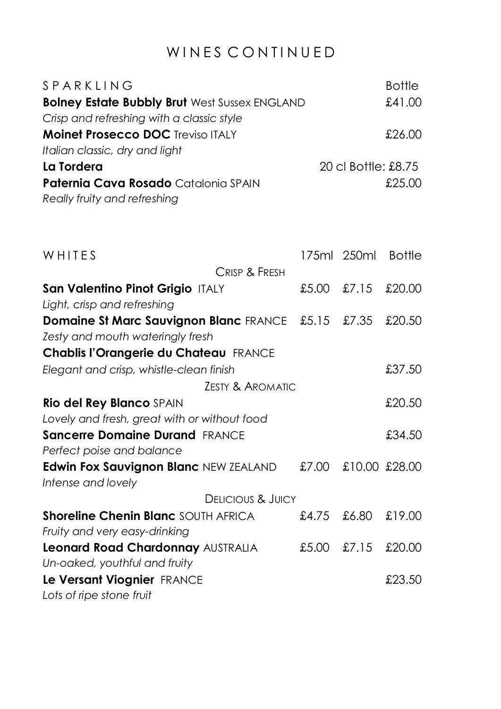# WINES CONTINUED

| SPARKLING                                                                   | <b>Bottle</b>       |
|-----------------------------------------------------------------------------|---------------------|
| <b>Bolney Estate Bubbly Brut West Sussex ENGLAND</b>                        | £41.00              |
| Crisp and refreshing with a classic style                                   |                     |
| <b>Moinet Prosecco DOC</b> Treviso ITALY                                    | £26.00              |
| Italian classic, dry and light                                              |                     |
| La Tordera                                                                  | 20 cl Bottle: £8.75 |
| <b>Paternia Cava Rosado Catalonia SPAIN</b><br>Really fruity and refreshing | £25.00              |

| WHITES                                              |       | 175ml 250ml | <b>Bottle</b> |
|-----------------------------------------------------|-------|-------------|---------------|
| CRISP & FRESH                                       |       |             |               |
| San Valentino Pinot Grigio ITALY                    | £5.00 | £7.15       | £20.00        |
| Light, crisp and refreshing                         |       |             |               |
| <b>Domaine St Marc Sauvignon Blanc FRANCE £5.15</b> |       | £7.35       | £20.50        |
| Zesty and mouth wateringly fresh                    |       |             |               |
| <b>Chablis l'Orangerie du Chateau FRANCE</b>        |       |             |               |
| Elegant and crisp, whistle-clean finish             |       |             | £37.50        |
| <b>7FSTY &amp; AROMATIC</b>                         |       |             |               |
| Rio del Rey Blanco SPAIN                            |       |             | £20.50        |
| Lovely and fresh, great with or without food        |       |             |               |
| <b>Sancerre Domaine Durand FRANCE</b>               |       |             | £34.50        |
| Perfect poise and balance                           |       |             |               |
| <b>Edwin Fox Sauvignon Blanc NEW ZEALAND</b>        | £7.00 |             | £10.00 £28.00 |
| Intense and lovely                                  |       |             |               |
| <b>DELICIOUS &amp; JUICY</b>                        |       |             |               |
| <b>Shoreline Chenin Blanc SOUTH AFRICA</b>          | £4.75 | £6.80       | £19.00        |
| Fruity and very easy-drinking                       |       |             |               |
| Leonard Road Chardonnay AUSTRALIA                   | £5.00 | £7.15       | £20.00        |
| Un-oaked, youthful and fruity                       |       |             |               |
| Le Versant Viognier FRANCE                          |       |             | £23.50        |
| Lots of ripe stone fruit                            |       |             |               |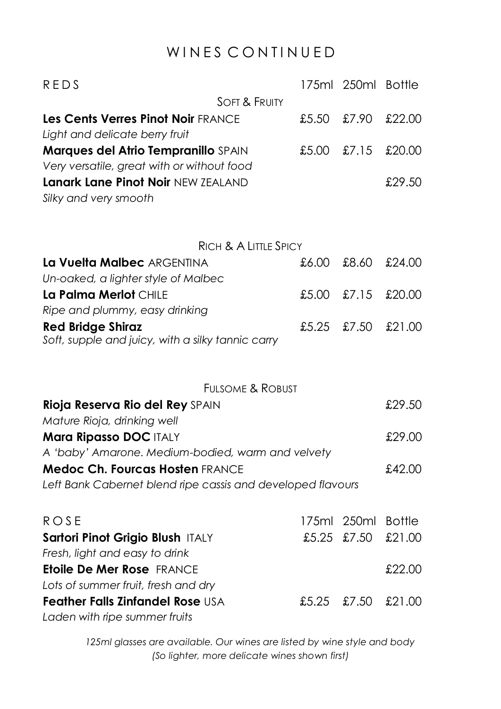# WINFS CONTINUED

| REDS                                                                 |       | 175ml 250ml | <b>Bottle</b> |
|----------------------------------------------------------------------|-------|-------------|---------------|
| <b>SOFT &amp; FRUITY</b>                                             |       |             |               |
| Les Cents Verres Pinot Noir FRANCE<br>Light and delicate berry fruit | £5.50 | £7.90       | £22.00        |
| <b>Marques del Atrio Tempranillo SPAIN</b>                           | £5.00 | £7.15       | £20.00        |
| Very versatile, great with or without food                           |       |             |               |
| Lanark Lane Pinot Noir NEW ZEALAND<br>Silky and very smooth          |       |             | £29.50        |
| <b>RICH &amp; A LITTLE SPICY</b>                                     |       |             |               |
| La Vuelta Malbec ARGENTINA                                           | £6.00 | £8.60       | £24.00        |
| Un-oaked, a lighter style of Malbec                                  |       |             |               |
| La Palma Merlot CHILE                                                | £5.00 | £7.15       | £20.00        |
| Ripe and plummy, easy drinking<br><b>Red Bridge Shiraz</b>           | £5.25 | £7.50       | £21.00        |
| Soft, supple and juicy, with a silky tannic carry                    |       |             |               |
| <b>FULSOME &amp; ROBUST</b>                                          |       |             |               |
| Rioja Reserva Rio del Rey SPAIN<br>Mature Rioja, drinking well       |       |             | £29.50        |
| Mara Ripasso DOC ITALY                                               |       |             | £29.00        |
| A 'baby' Amarone. Medium-bodied, warm and velvety                    |       |             |               |
| <b>Medoc Ch. Fourcas Hosten FRANCE</b>                               |       |             | £42.00        |
| Left Bank Cabernet blend ripe cassis and developed flavours          |       |             |               |
| ROSE                                                                 |       | 175ml 250ml | <b>Bottle</b> |
| Sartori Pinot Grigio Blush ITALY                                     | £5.25 | £7.50       | £21.00        |
| Fresh, light and easy to drink                                       |       |             |               |
| Etoile De Mer Rose FRANCE                                            |       |             | £22.00        |
| Lots of summer fruit, fresh and dry                                  |       |             |               |
| Feather Falls Zinfandel Rose USA                                     | £5.25 | £7.50       | £21.00        |
| Laden with ripe summer fruits                                        |       |             |               |

*125ml glasses are available. Our wines are listed by wine style and body (So lighter, more delicate wines shown first)*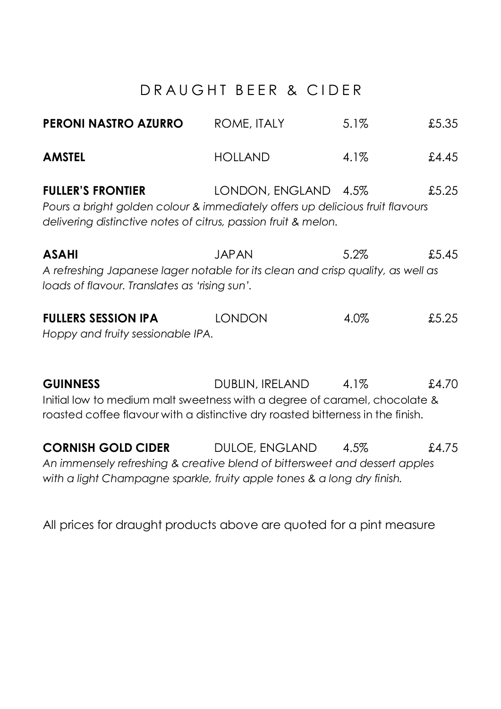# DRAUGHT BEER & CIDER

| <b>PERONI NASTRO AZURRO</b>                                                                                                                                                      | ROME, ITALY          | 5.1%    | £5.35 |
|----------------------------------------------------------------------------------------------------------------------------------------------------------------------------------|----------------------|---------|-------|
| <b>AMSTEL</b>                                                                                                                                                                    | <b>HOLLAND</b>       | $4.1\%$ | £4.45 |
| <b>FULLER'S FRONTIER</b><br>Pours a bright golden colour & immediately offers up delicious fruit flavours<br>delivering distinctive notes of citrus, passion fruit & melon.      | LONDON, ENGLAND 4.5% |         | £5.25 |
| <b>ASAHI</b><br>A refreshing Japanese lager notable for its clean and crisp quality, as well as<br>loads of flavour. Translates as 'rising sun'.                                 | <b>JAPAN</b>         | 5.2%    | £5.45 |
| <b>FULLERS SESSION IPA</b><br>Hoppy and fruity sessionable IPA.                                                                                                                  | <b>LONDON</b>        | 4.0%    | £5.25 |
| <b>GUINNESS</b><br>Initial low to medium malt sweetness with a degree of caramel, chocolate &<br>roasted coffee flavour with a distinctive dry roasted bitterness in the finish. | DUBLIN, IRELAND 4.1% |         | £4.70 |

**CORNISH GOLD CIDER** DULOE, ENGLAND 4.5% £4.75 *An immensely refreshing & creative blend of bittersweet and dessert apples with a light Champagne sparkle, fruity apple tones & a long dry finish.*

All prices for draught products above are quoted for a pint measure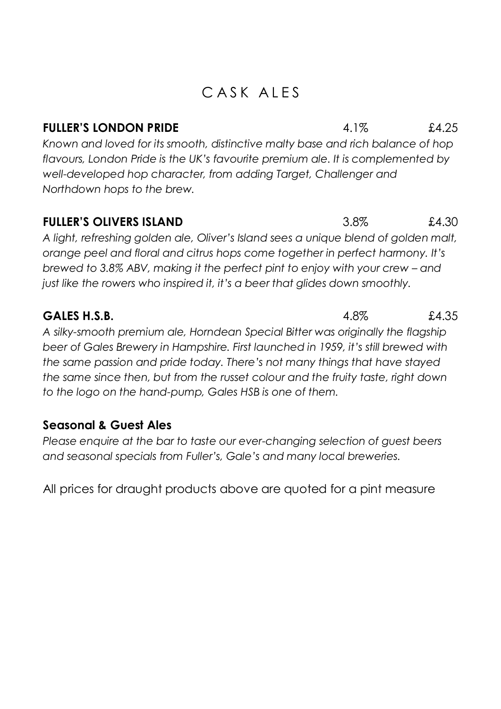# $C$  A S K A L F S

## **FULLER'S LONDON PRIDE** 4.1% **6.4.25**

*Known and loved for its smooth, distinctive malty base and rich balance of hop flavours, London Pride is the UK's favourite premium ale. It is complemented by well-developed hop character, from adding Target, Challenger and Northdown hops to the brew.*

## **FULLER'S OLIVERS ISLAND** 3.8% £4.30

*A light, refreshing golden ale, Oliver's Island sees a unique blend of golden malt, orange peel and floral and citrus hops come together in perfect harmony. It's brewed to 3.8% ABV, making it the perfect pint to enjoy with your crew – and just like the rowers who inspired it, it's a beer that glides down smoothly.*

*A silky-smooth premium ale, Horndean Special Bitter was originally the flagship beer of Gales Brewery in Hampshire. First launched in 1959, it's still brewed with the same passion and pride today. There's not many things that have stayed the same since then, but from the russet colour and the fruity taste, right down to the logo on the hand-pump, Gales HSB is one of them.*

## **Seasonal & Guest Ales**

*Please enquire at the bar to taste our ever-changing selection of guest beers and seasonal specials from Fuller's, Gale's and many local breweries.*

All prices for draught products above are quoted for a pint measure

**GALES H.S.B.** 4.8% **£4.35**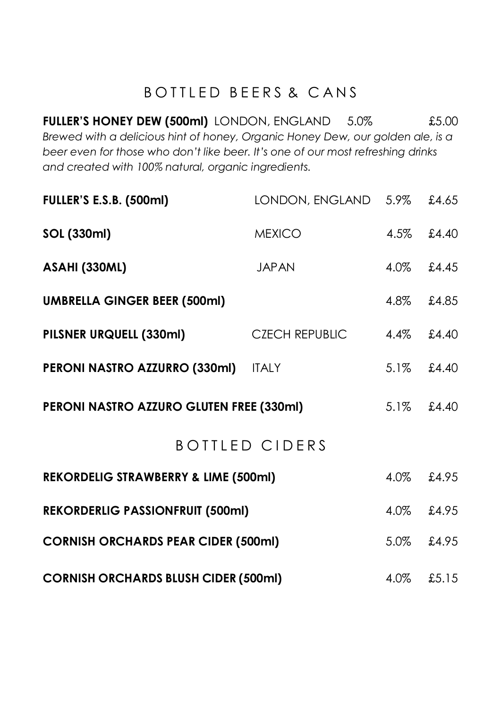# BOTTLED BEFRS & CANS

**FULLER'S HONEY DEW (500ml)** LONDON, ENGLAND5.0% £5.00 *Brewed with a delicious hint of honey, Organic Honey Dew, our golden ale, is a beer even for those who don't like beer. It's one of our most refreshing drinks and created with 100% natural, organic ingredients.*

| <b>FULLER'S E.S.B. (500ml)</b>                  | LONDON, ENGLAND 5.9% £4.65 |      |            |
|-------------------------------------------------|----------------------------|------|------------|
| SOL (330ml)                                     | <b>MEXICO</b>              |      | 4.5% £4.40 |
| ASAHI (330ML)                                   | JAPAN                      |      | 4.0% £4.45 |
| <b>UMBRELLA GINGER BEER (500ml)</b>             |                            |      | 4.8% £4.85 |
| PILSNER URQUELL (330ml)                         | CZECH REPUBLIC 4.4%        |      | £4.40      |
| PERONI NASTRO AZZURRO (330ml) ITALY             |                            |      | 5.1% £4.40 |
| PERONI NASTRO AZZURO GLUTEN FREE (330ml)        |                            |      | 5.1% £4.40 |
|                                                 | <b>BOTTLED CIDERS</b>      |      |            |
| <b>REKORDELIG STRAWBERRY &amp; LIME (500ml)</b> |                            | 4.0% | £4.95      |
| <b>REKORDERLIG PASSIONFRUIT (500ml)</b>         |                            |      | 4.0% £4.95 |
| <b>CORNISH ORCHARDS PEAR CIDER (500ml)</b>      |                            |      | 5.0% £4.95 |
| <b>CORNISH ORCHARDS BLUSH CIDER (500ml)</b>     |                            |      | 4.0% £5.15 |